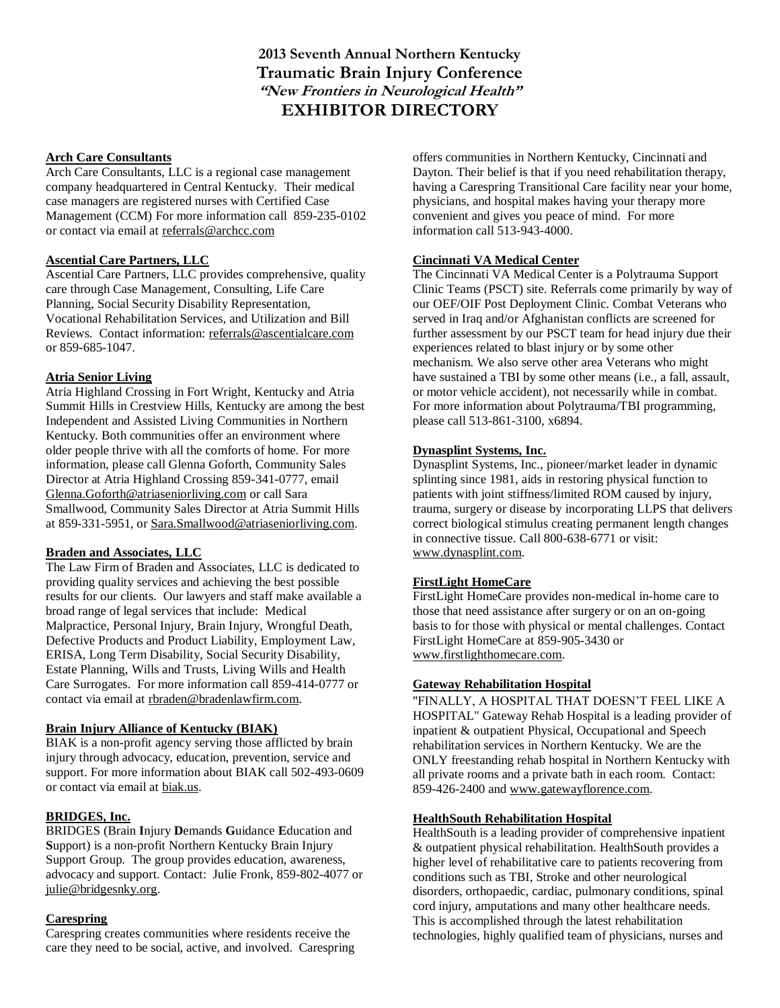**2013 Seventh Annual Northern Kentucky Traumatic Brain Injury Conference "New Frontiers in Neurological Health" EXHIBITOR DIRECTORY**

#### **Arch Care Consultants**

Arch Care Consultants, LLC is a regional case management company headquartered in Central Kentucky. Their medical case managers are registered nurses with Certified Case Management (CCM) For more information call 859-235-0102 or contact via email at [referrals@archcc.com](mailto:referrals@archcc.com)

#### **Ascential Care Partners, LLC**

Ascential Care Partners, LLC provides comprehensive, quality care through Case Management, Consulting, Life Care Planning, Social Security Disability Representation, Vocational Rehabilitation Services, and Utilization and Bill Reviews. Contact information: [referrals@ascentialcare.com](mailto:referrals@ascentialcare.com) or 859-685-1047.

#### **Atria Senior Living**

Atria Highland Crossing in Fort Wright, Kentucky and Atria Summit Hills in Crestview Hills, Kentucky are among the best Independent and Assisted Living Communities in Northern Kentucky. Both communities offer an environment where older people thrive with all the comforts of home. For more information, please call Glenna Goforth, Community Sales Director at Atria Highland Crossing 859-341-0777, email [Glenna.Goforth@atriaseniorliving.com](mailto:Glenna.Goforth@atriaseniorliving.com) or call Sara Smallwood, Community Sales Director at Atria Summit Hills at 859-331-5951, or Sara.Smallwood@atriaseniorliving.com.

#### **Braden and Associates, LLC**

The Law Firm of Braden and Associates, LLC is dedicated to providing quality services and achieving the best possible results for our clients. Our lawyers and staff make available a broad range of legal services that include: Medical Malpractice, Personal Injury, Brain Injury, Wrongful Death, Defective Products and Product Liability, Employment Law, ERISA, Long Term Disability, Social Security Disability, Estate Planning, Wills and Trusts, Living Wills and Health Care Surrogates. For more information call 859-414-0777 or contact via email at rbraden@bradenlawfirm.com.

## **Brain Injury Alliance of Kentucky (BIAK)**

BIAK is a non-profit agency serving those afflicted by brain injury through advocacy, education, prevention, service and support. For more information about BIAK call 502-493-0609 or contact via email at biak.us.

#### **BRIDGES, Inc.**

BRIDGES (Brain **I**njury **D**emands **G**uidance **E**ducation and **S**upport) is a non-profit Northern Kentucky Brain Injury Support Group. The group provides education, awareness, advocacy and support. Contact: Julie Fronk, 859-802-4077 or julie@bridgesnky.org.

## **Carespring**

Carespring creates communities where residents receive the care they need to be social, active, and involved. Carespring offers communities in Northern Kentucky, Cincinnati and Dayton. Their belief is that if you need rehabilitation therapy, having a Carespring Transitional Care facility near your home, physicians, and hospital makes having your therapy more convenient and gives you peace of mind. For more information call 513-943-4000.

#### **Cincinnati VA Medical Center**

The Cincinnati VA Medical Center is a Polytrauma Support Clinic Teams (PSCT) site. Referrals come primarily by way of our OEF/OIF Post Deployment Clinic. Combat Veterans who served in Iraq and/or Afghanistan conflicts are screened for further assessment by our PSCT team for head injury due their experiences related to blast injury or by some other mechanism. We also serve other area Veterans who might have sustained a TBI by some other means (i.e., a fall, assault, or motor vehicle accident), not necessarily while in combat. For more information about Polytrauma/TBI programming, please call 513-861-3100, x6894.

#### **Dynasplint Systems, Inc.**

Dynasplint Systems, Inc., pioneer/market leader in dynamic splinting since 1981, aids in restoring physical function to patients with joint stiffness/limited ROM caused by injury, trauma, surgery or disease by incorporating LLPS that delivers correct biological stimulus creating permanent length changes in connective tissue. Call 800-638-6771 or visit: www.dynasplint.com.

# **FirstLight HomeCare**

FirstLight HomeCare provides non-medical in-home care to those that need assistance after surgery or on an on-going basis to for those with physical or mental challenges. Contact FirstLight HomeCare at 859-905-3430 or [www.firstlighthomecare.com.](http://www.firstlighthomecare.com/)

#### **Gateway Rehabilitation Hospital**

"FINALLY, A HOSPITAL THAT DOESN'T FEEL LIKE A HOSPITAL" Gateway Rehab Hospital is a leading provider of inpatient & outpatient Physical, Occupational and Speech rehabilitation services in Northern Kentucky. We are the ONLY freestanding rehab hospital in Northern Kentucky with all private rooms and a private bath in each room. Contact: 859-426-2400 and www.gatewayflorence.com.

#### **HealthSouth Rehabilitation Hospital**

HealthSouth is a leading provider of comprehensive inpatient & outpatient physical rehabilitation. HealthSouth provides a higher level of rehabilitative care to patients recovering from conditions such as TBI, Stroke and other neurological disorders, orthopaedic, cardiac, pulmonary conditions, spinal cord injury, amputations and many other healthcare needs. This is accomplished through the latest rehabilitation technologies, highly qualified team of physicians, nurses and